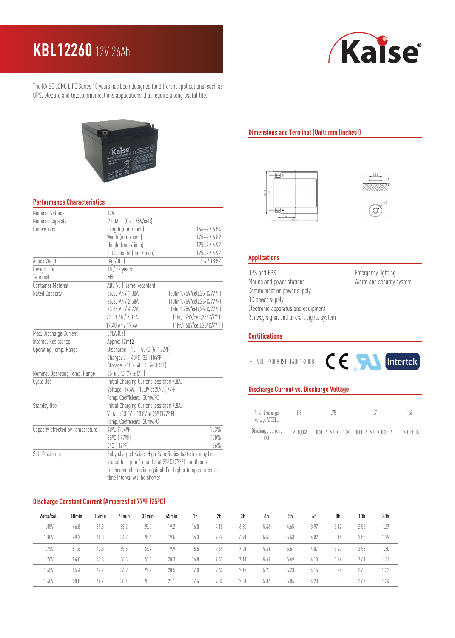# **KBL12260** 12V 26Ah



The KAISE LONG LIFE Series 10 years has been designed for different applications, such as UPS, electric and telecommunications applications that require a long useful life.



### **Performance Characteristics**

| Nominal Voltage                  | <b>12V</b>                                                 |                               |  |  |  |  |  |  |
|----------------------------------|------------------------------------------------------------|-------------------------------|--|--|--|--|--|--|
| Nominal Capacity                 | $(C_{20}, 1.75V/cell)$<br>26.0Ah                           |                               |  |  |  |  |  |  |
| Dimensions                       | Length (mm / inch)<br>$166 \pm 2 / 6.54$                   |                               |  |  |  |  |  |  |
|                                  | Width (mm / inch)                                          | $175 \pm 2 / 6.89$            |  |  |  |  |  |  |
|                                  | Height (mm / inch)                                         | $125 \pm 2 / 4.92$            |  |  |  |  |  |  |
|                                  | Total Height (mm / inch)                                   | $125 \pm 2 / 4.92$            |  |  |  |  |  |  |
| Appox Weight                     | (Kg / lbs)                                                 | $\overline{8.4}$ / 18.52      |  |  |  |  |  |  |
| Design Life                      | 10 / 12 years                                              |                               |  |  |  |  |  |  |
| Terminal                         | M <sub>5</sub>                                             |                               |  |  |  |  |  |  |
| <b>Container Material</b>        | ABS VO (Flame Retardant)                                   |                               |  |  |  |  |  |  |
| Rated Capacity                   | 26.00 Ah / 1.30A                                           | [20hr, 1.75V/cell, 25°C/77°F] |  |  |  |  |  |  |
|                                  | 25.80 Ah / 2.58A                                           | [10hr,1.75V/cell,25°C/77°F]   |  |  |  |  |  |  |
|                                  | 23.85 Ah / 4.77A                                           | (5hr, 1.75V/cell, 25°C/77°F)  |  |  |  |  |  |  |
|                                  | 21.03 Ah / 7.01A                                           | (3hr, 1.75V/cell, 25°C/77°F)  |  |  |  |  |  |  |
|                                  | 17.40 Ah / 17.4A                                           | (1hr, 1.60V/cell, 25°C/77°F)  |  |  |  |  |  |  |
| Max. Discharge Current           | 390A (5s)                                                  |                               |  |  |  |  |  |  |
| Internal Resistance              | Approx $12m\Omega$                                         |                               |  |  |  |  |  |  |
| Operating Temp. Range            | Discharge: $-15 - 50^{\circ}C (5 - 122^{\circ}F)$          |                               |  |  |  |  |  |  |
|                                  | Charge: $0 - 40^{\circ}$ C (32~104°F)                      |                               |  |  |  |  |  |  |
|                                  | Storage: -15 ~ 40°C (5~104°F)                              |                               |  |  |  |  |  |  |
| Nominal Operating Temp. Range    | 25 ± 3°C (77 ± 5°F)                                        |                               |  |  |  |  |  |  |
| Cycle Use                        | Initial Charging Current less than 7.8A.                   |                               |  |  |  |  |  |  |
|                                  | Voltage: 14.4V ~ 15.0V at 25°C (77°F)                      |                               |  |  |  |  |  |  |
|                                  | Temp. Coefficient: -30mV/ºC                                |                               |  |  |  |  |  |  |
| Standby Use                      | Initial Charging Current less than 7.8A.                   |                               |  |  |  |  |  |  |
|                                  | Voltage 13.5V ~ 13.8V at 25° C(77° F)                      |                               |  |  |  |  |  |  |
|                                  | Temp. Coefficient: -20mV/ºC                                |                               |  |  |  |  |  |  |
| Capacity affected by Temperature | 40°C (104°F)                                               | 103%                          |  |  |  |  |  |  |
|                                  | 25°C (77°F)                                                | 100%                          |  |  |  |  |  |  |
|                                  | 0°C (32°F)                                                 | 86%                           |  |  |  |  |  |  |
| Self Discharge                   | Fully charged Kaise High Rate Series batteries may be      |                               |  |  |  |  |  |  |
|                                  | stored for up to 6 months at 25°C (77°F) and then a        |                               |  |  |  |  |  |  |
|                                  | freshening charge is required. For higher temperatures the |                               |  |  |  |  |  |  |
|                                  | time interval will be shorter.                             |                               |  |  |  |  |  |  |

# **Discharge Constant Current (Amperes) at 77ºF (25ºC)**

| Volts/cell | 10 <sub>min</sub> | 15min | 20 <sub>min</sub> | 30 <sub>min</sub> | 45min | 1 <sub>h</sub> | 2h   | 3h   | 4h   | 5h   | 6h   | 8h   | 10h  | 20h  |
|------------|-------------------|-------|-------------------|-------------------|-------|----------------|------|------|------|------|------|------|------|------|
| 1.85V      | 46.8              | 39.3  | 33.2              | 25.0              | 19.2  | 16.0           | 9.10 | 6.80 | 5.46 | 4.65 | 3.97 | 3.12 | 2.52 | 1.27 |
| 1.80V      | 49.2              | 40.8  | 34.2              | 25.6              | 19.5  | 16.3           | 9.24 | 6.91 | 5.53 | 5.53 | 4.02 | 3.16 | 2.55 | 1.29 |
| 1.75V      | 51.6              | 42.3  | 35.3              | 26.2              | 19.9  | 16.5           | 9.39 | 7.01 | 5.61 | 5.61 | 4.07 | 3.20 | 2.58 | 1.30 |
| 1.70V      | 54.0              | 43.8  | 36.3              | 26.8              | 20.3  | 16.8           | 9.53 | 7.11 | 5.69 | 5.69 | 4.13 | 3.24 | 2.61 | 1.31 |
| 1.65V      | 55.4              | 44.7  | 36.9              | 27.2              | 20.5  | 17.0           | 9.62 | 7.17 | 5.73 | 5.73 | 4.16 | 3.26 | 2.63 | 1.32 |
| 1.60V      | 58.8              | 46.7  | 38.4              | 28.0              | 21.7  | 17.4           | 9.82 | 7.31 | 5.84 | 5.84 | 4.23 | 3.31 | 2.67 | 1.34 |

## **Dimensions and Terminal (Unit: mm (inches))**





# **Applications**

UPS and EPS **Emergency lighting** Marine and power stations Marine and security system Communication power supply DC power supply Electronic apparatus and equipment Railway signal and aircraft signal system

#### **Certifications**

ISO 9001:2008 ISO 14001:2008



## **Discharge Current vs. Discharge Voltage**

| Final discharge<br>voltage V/CELL | 1.8          | 175 |                                                         | 1.6 |
|-----------------------------------|--------------|-----|---------------------------------------------------------|-----|
| Discharge current                 | $I < 0.1$ CA |     | $0.25CA > 1 > 0.1CA$ $0.55CA > 1 > 0.25CA$ $1 > 0.55CA$ |     |